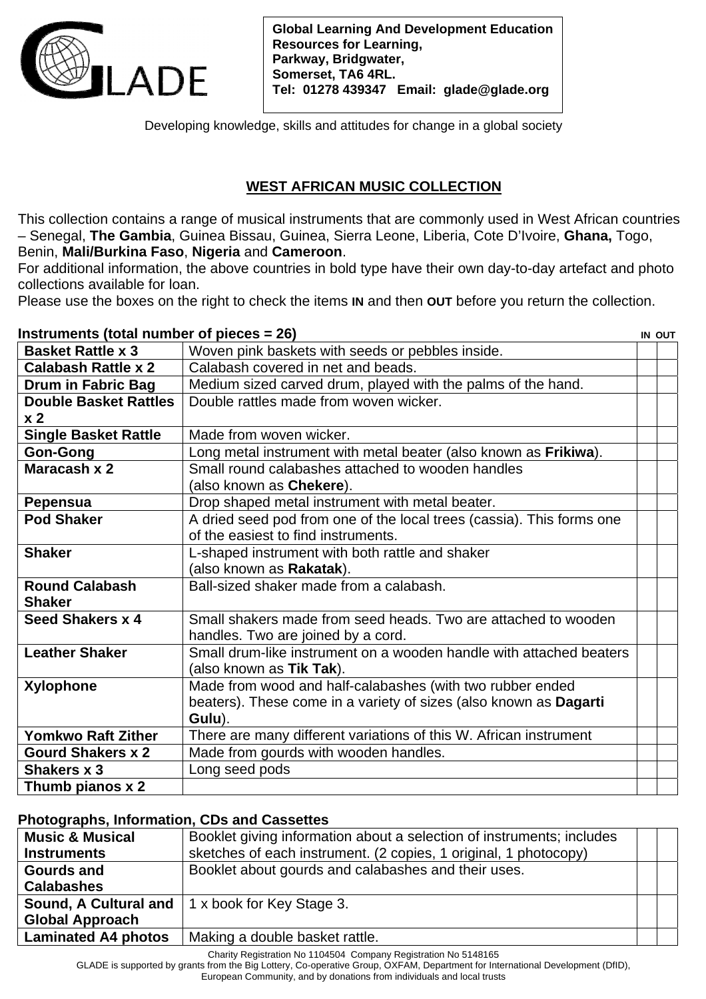

**Global Learning And Development Education Resources for Learning, Parkway, Bridgwater, Somerset, TA6 4RL. Tel: 01278 439347 Email: glade@glade.org** 

Developing knowledge, skills and attitudes for change in a global society

## **WEST AFRICAN MUSIC COLLECTION**

This collection contains a range of musical instruments that are commonly used in West African countries – Senegal, **The Gambia**, Guinea Bissau, Guinea, Sierra Leone, Liberia, Cote D'Ivoire, **Ghana,** Togo, Benin, **Mali/Burkina Faso**, **Nigeria** and **Cameroon**.

For additional information, the above countries in bold type have their own day-to-day artefact and photo collections available for loan.

Please use the boxes on the right to check the items **IN** and then **OUT** before you return the collection.

**Instruments (total number of pieces – 26)** IN OUT

| $\overline{\text{m}}$ su unichts (totai number or picces = zv) |                                                                       | ווער או |
|----------------------------------------------------------------|-----------------------------------------------------------------------|---------|
| <b>Basket Rattle x 3</b>                                       | Woven pink baskets with seeds or pebbles inside.                      |         |
| <b>Calabash Rattle x 2</b>                                     | Calabash covered in net and beads.                                    |         |
| Drum in Fabric Bag                                             | Medium sized carved drum, played with the palms of the hand.          |         |
| <b>Double Basket Rattles</b>                                   | Double rattles made from woven wicker.                                |         |
| x <sub>2</sub>                                                 |                                                                       |         |
| <b>Single Basket Rattle</b>                                    | Made from woven wicker.                                               |         |
| <b>Gon-Gong</b>                                                | Long metal instrument with metal beater (also known as Frikiwa).      |         |
| Maracash x 2                                                   | Small round calabashes attached to wooden handles                     |         |
|                                                                | (also known as <b>Chekere</b> ).                                      |         |
| Pepensua                                                       | Drop shaped metal instrument with metal beater.                       |         |
| <b>Pod Shaker</b>                                              | A dried seed pod from one of the local trees (cassia). This forms one |         |
|                                                                | of the easiest to find instruments.                                   |         |
| <b>Shaker</b>                                                  | L-shaped instrument with both rattle and shaker                       |         |
|                                                                | (also known as <b>Rakatak</b> ).                                      |         |
| <b>Round Calabash</b>                                          | Ball-sized shaker made from a calabash.                               |         |
| <b>Shaker</b>                                                  |                                                                       |         |
| Seed Shakers x 4                                               | Small shakers made from seed heads. Two are attached to wooden        |         |
|                                                                | handles. Two are joined by a cord.                                    |         |
| <b>Leather Shaker</b>                                          | Small drum-like instrument on a wooden handle with attached beaters   |         |
|                                                                | (also known as <b>Tik Tak</b> ).                                      |         |
| <b>Xylophone</b>                                               | Made from wood and half-calabashes (with two rubber ended             |         |
|                                                                | beaters). These come in a variety of sizes (also known as Dagarti     |         |
|                                                                | Gulu).                                                                |         |
| <b>Yomkwo Raft Zither</b>                                      | There are many different variations of this W. African instrument     |         |
| <b>Gourd Shakers x 2</b>                                       | Made from gourds with wooden handles.                                 |         |
| Shakers x 3                                                    | Long seed pods                                                        |         |
| Thumb pianos x 2                                               |                                                                       |         |

## **Photographs, Information, CDs and Cassettes**

| <b>Music &amp; Musical</b> | Booklet giving information about a selection of instruments; includes |  |
|----------------------------|-----------------------------------------------------------------------|--|
| <b>Instruments</b>         | sketches of each instrument. (2 copies, 1 original, 1 photocopy)      |  |
| <b>Gourds and</b>          | Booklet about gourds and calabashes and their uses.                   |  |
| <b>Calabashes</b>          |                                                                       |  |
|                            | <b>Sound, A Cultural and 1 x book for Key Stage 3.</b>                |  |
| <b>Global Approach</b>     |                                                                       |  |
| <b>Laminated A4 photos</b> | Making a double basket rattle.                                        |  |

Charity Registration No 1104504 Company Registration No 5148165

GLADE is supported by grants from the Big Lottery, Co-operative Group, OXFAM, Department for International Development (DfID),

European Community, and by donations from individuals and local trusts